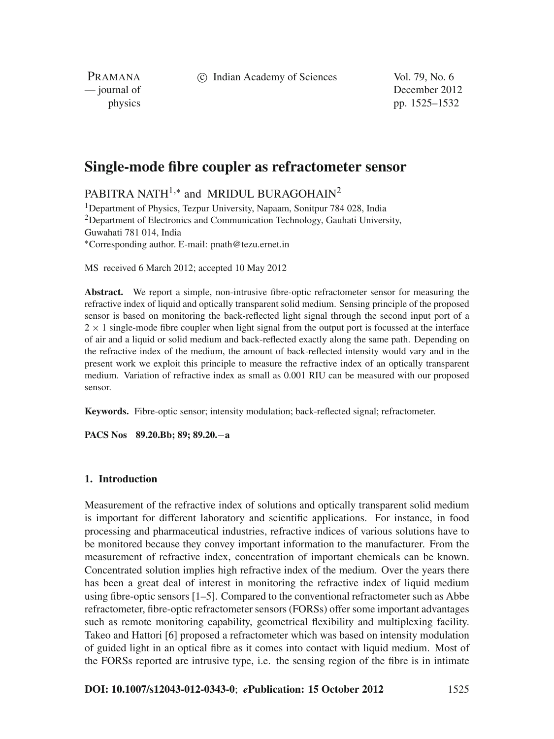c Indian Academy of Sciences Vol. 79, No. 6

PRAMANA

— journal of December 2012 physics pp. 1525–1532

# **Single-mode fibre coupler as refractometer sensor**

PABITRA NATH<sup>1,\*</sup> and MRIDUL BURAGOHAIN<sup>2</sup>

<sup>1</sup>Department of Physics, Tezpur University, Napaam, Sonitpur 784 028, India <sup>2</sup>Department of Electronics and Communication Technology, Gauhati University, Guwahati 781 014, India <sup>∗</sup>Corresponding author. E-mail: pnath@tezu.ernet.in

MS received 6 March 2012; accepted 10 May 2012

**Abstract.** We report a simple, non-intrusive fibre-optic refractometer sensor for measuring the refractive index of liquid and optically transparent solid medium. Sensing principle of the proposed sensor is based on monitoring the back-reflected light signal through the second input port of a  $2 \times 1$  single-mode fibre coupler when light signal from the output port is focussed at the interface of air and a liquid or solid medium and back-reflected exactly along the same path. Depending on the refractive index of the medium, the amount of back-reflected intensity would vary and in the present work we exploit this principle to measure the refractive index of an optically transparent medium. Variation of refractive index as small as 0.001 RIU can be measured with our proposed sensor.

**Keywords.** Fibre-optic sensor; intensity modulation; back-reflected signal; refractometer.

**PACS Nos 89.20.Bb; 89; 89.20.**−**a**

# **1. Introduction**

Measurement of the refractive index of solutions and optically transparent solid medium is important for different laboratory and scientific applications. For instance, in food processing and pharmaceutical industries, refractive indices of various solutions have to be monitored because they convey important information to the manufacturer. From the measurement of refractive index, concentration of important chemicals can be known. Concentrated solution implies high refractive index of the medium. Over the years there has been a great deal of interest in monitoring the refractive index of liquid medium using fibre-optic sensors [1–5]. Compared to the conventional refractometer such as Abbe refractometer, fibre-optic refractometer sensors (FORSs) offer some important advantages such as remote monitoring capability, geometrical flexibility and multiplexing facility. Takeo and Hattori [6] proposed a refractometer which was based on intensity modulation of guided light in an optical fibre as it comes into contact with liquid medium. Most of the FORSs reported are intrusive type, i.e. the sensing region of the fibre is in intimate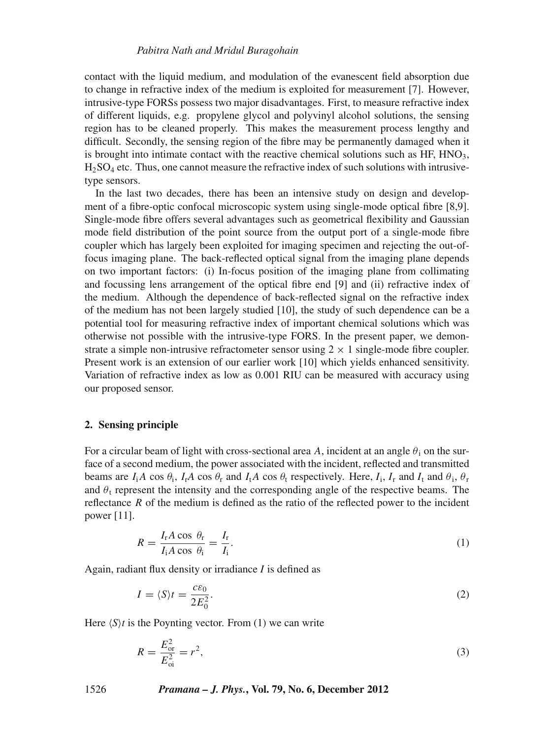contact with the liquid medium, and modulation of the evanescent field absorption due to change in refractive index of the medium is exploited for measurement [7]. However, intrusive-type FORSs possess two major disadvantages. First, to measure refractive index of different liquids, e.g. propylene glycol and polyvinyl alcohol solutions, the sensing region has to be cleaned properly. This makes the measurement process lengthy and difficult. Secondly, the sensing region of the fibre may be permanently damaged when it is brought into intimate contact with the reactive chemical solutions such as  $HF$ ,  $HNO<sub>3</sub>$ ,  $H_2SO_4$  etc. Thus, one cannot measure the refractive index of such solutions with intrusivetype sensors.

In the last two decades, there has been an intensive study on design and development of a fibre-optic confocal microscopic system using single-mode optical fibre [8,9]. Single-mode fibre offers several advantages such as geometrical flexibility and Gaussian mode field distribution of the point source from the output port of a single-mode fibre coupler which has largely been exploited for imaging specimen and rejecting the out-offocus imaging plane. The back-reflected optical signal from the imaging plane depends on two important factors: (i) In-focus position of the imaging plane from collimating and focussing lens arrangement of the optical fibre end [9] and (ii) refractive index of the medium. Although the dependence of back-reflected signal on the refractive index of the medium has not been largely studied [10], the study of such dependence can be a potential tool for measuring refractive index of important chemical solutions which was otherwise not possible with the intrusive-type FORS. In the present paper, we demonstrate a simple non-intrusive refractometer sensor using  $2 \times 1$  single-mode fibre coupler. Present work is an extension of our earlier work [10] which yields enhanced sensitivity. Variation of refractive index as low as 0.001 RIU can be measured with accuracy using our proposed sensor.

# **2. Sensing principle**

For a circular beam of light with cross-sectional area A, incident at an angle  $\theta_i$  on the surface of a second medium, the power associated with the incident, reflected and transmitted beams are  $I_iA \cos \theta_i$ ,  $I_rA \cos \theta_r$  and  $I_tA \cos \theta_t$  respectively. Here,  $I_i$ ,  $I_r$  and  $I_t$  and  $\theta_i$ ,  $\theta_r$ and  $\theta_t$  represent the intensity and the corresponding angle of the respective beams. The reflectance *R* of the medium is defined as the ratio of the reflected power to the incident power [11].

$$
R = \frac{I_{\rm r} A \cos \theta_{\rm r}}{I_{\rm i} A \cos \theta_{\rm i}} = \frac{I_{\rm r}}{I_{\rm i}}.\tag{1}
$$

Again, radiant flux density or irradiance *I* is defined as

$$
I = \langle S \rangle t = \frac{c \varepsilon_0}{2E_0^2}.
$$
\n<sup>(2)</sup>

Here  $\langle S \rangle t$  is the Poynting vector. From (1) we can write

$$
R = \frac{E_{\text{or}}^2}{E_{\text{oi}}^2} = r^2,\tag{3}
$$

1526 *Pramana – J. Phys.***, Vol. 79, No. 6, December 2012**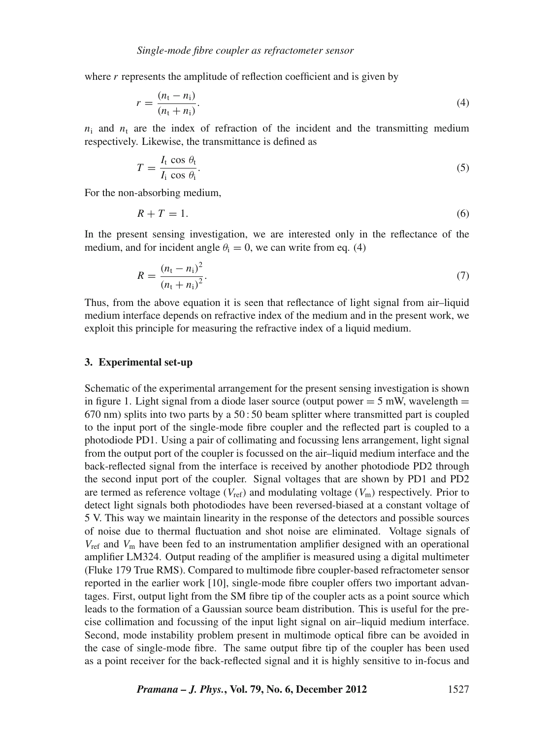where *r* represents the amplitude of reflection coefficient and is given by

$$
r = \frac{(n_1 - n_1)}{(n_1 + n_1)}.
$$
\n(4)

 $n_i$  and  $n_t$  are the index of refraction of the incident and the transmitting medium respectively. Likewise, the transmittance is defined as

$$
T = \frac{I_{\rm t} \cos \theta_{\rm t}}{I_{\rm i} \cos \theta_{\rm i}}.
$$

For the non-absorbing medium,

$$
R + T = 1.\t\t(6)
$$

In the present sensing investigation, we are interested only in the reflectance of the medium, and for incident angle  $\theta_i = 0$ , we can write from eq. (4)

$$
R = \frac{(n_{\rm t} - n_{\rm i})^2}{(n_{\rm t} + n_{\rm i})^2}.
$$
\n(7)

Thus, from the above equation it is seen that reflectance of light signal from air–liquid medium interface depends on refractive index of the medium and in the present work, we exploit this principle for measuring the refractive index of a liquid medium.

#### **3. Experimental set-up**

Schematic of the experimental arrangement for the present sensing investigation is shown in figure 1. Light signal from a diode laser source (output power  $= 5$  mW, wavelength  $=$ 670 nm) splits into two parts by a 50 : 50 beam splitter where transmitted part is coupled to the input port of the single-mode fibre coupler and the reflected part is coupled to a photodiode PD1. Using a pair of collimating and focussing lens arrangement, light signal from the output port of the coupler is focussed on the air–liquid medium interface and the back-reflected signal from the interface is received by another photodiode PD2 through the second input port of the coupler. Signal voltages that are shown by PD1 and PD2 are termed as reference voltage ( $V_{ref}$ ) and modulating voltage ( $V_m$ ) respectively. Prior to detect light signals both photodiodes have been reversed-biased at a constant voltage of 5 V. This way we maintain linearity in the response of the detectors and possible sources of noise due to thermal fluctuation and shot noise are eliminated. Voltage signals of *V*ref and *V*<sup>m</sup> have been fed to an instrumentation amplifier designed with an operational amplifier LM324. Output reading of the amplifier is measured using a digital multimeter (Fluke 179 True RMS). Compared to multimode fibre coupler-based refractometer sensor reported in the earlier work [10], single-mode fibre coupler offers two important advantages. First, output light from the SM fibre tip of the coupler acts as a point source which leads to the formation of a Gaussian source beam distribution. This is useful for the precise collimation and focussing of the input light signal on air–liquid medium interface. Second, mode instability problem present in multimode optical fibre can be avoided in the case of single-mode fibre. The same output fibre tip of the coupler has been used as a point receiver for the back-reflected signal and it is highly sensitive to in-focus and

*Pramana – J. Phys.***, Vol. 79, No. 6, December 2012** 1527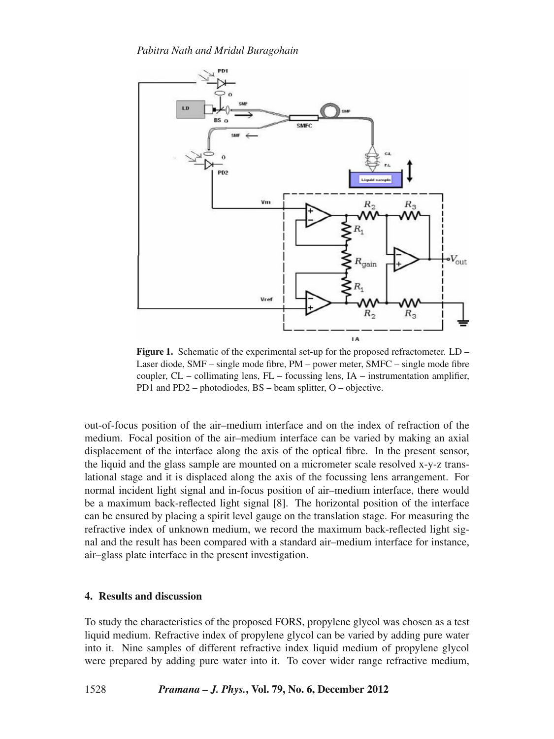

**Figure 1.** Schematic of the experimental set-up for the proposed refractometer. LD – Laser diode, SMF – single mode fibre, PM – power meter, SMFC – single mode fibre coupler, CL – collimating lens, FL – focussing lens, IA – instrumentation amplifier, PD1 and PD2 – photodiodes, BS – beam splitter, O – objective.

out-of-focus position of the air–medium interface and on the index of refraction of the medium. Focal position of the air–medium interface can be varied by making an axial displacement of the interface along the axis of the optical fibre. In the present sensor, the liquid and the glass sample are mounted on a micrometer scale resolved x-y-z translational stage and it is displaced along the axis of the focussing lens arrangement. For normal incident light signal and in-focus position of air–medium interface, there would be a maximum back-reflected light signal [8]. The horizontal position of the interface can be ensured by placing a spirit level gauge on the translation stage. For measuring the refractive index of unknown medium, we record the maximum back-reflected light signal and the result has been compared with a standard air–medium interface for instance, air–glass plate interface in the present investigation.

# **4. Results and discussion**

To study the characteristics of the proposed FORS, propylene glycol was chosen as a test liquid medium. Refractive index of propylene glycol can be varied by adding pure water into it. Nine samples of different refractive index liquid medium of propylene glycol were prepared by adding pure water into it. To cover wider range refractive medium,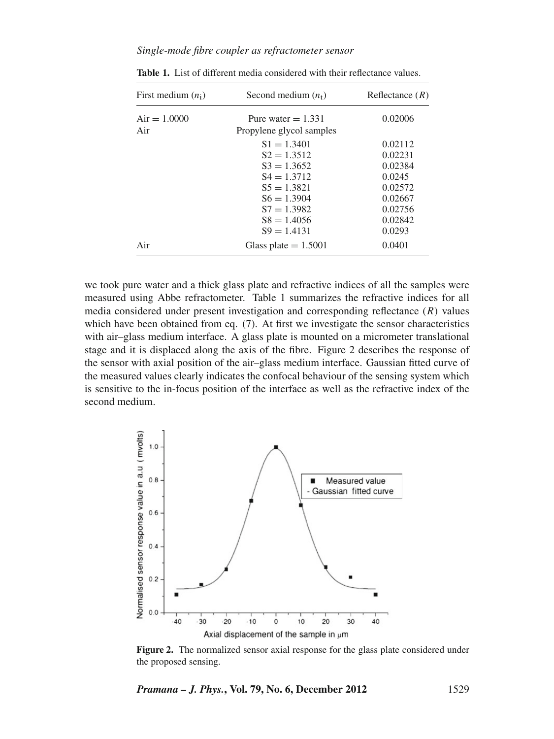# *Single-mode fibre coupler as refractometer sensor*

| First medium $(n_i)$  | Second medium $(n_t)$                                                                                                                                    | Reflectance $(R)$                                                                             |
|-----------------------|----------------------------------------------------------------------------------------------------------------------------------------------------------|-----------------------------------------------------------------------------------------------|
| $Air = 1.0000$<br>Air | Pure water $= 1.331$<br>Propylene glycol samples                                                                                                         | 0.02006                                                                                       |
|                       | $S1 = 1.3401$<br>$S2 = 1.3512$<br>$S_3 = 1.3652$<br>$S_4 = 1.3712$<br>$S_5 = 1.3821$<br>$S6 = 1.3904$<br>$S7 = 1.3982$<br>$S8 = 1.4056$<br>$S9 = 1.4131$ | 0.02112<br>0.02231<br>0.02384<br>0.0245<br>0.02572<br>0.02667<br>0.02756<br>0.02842<br>0.0293 |
| Air                   | Glass plate $= 1.5001$                                                                                                                                   | 0.0401                                                                                        |

**Table 1.** List of different media considered with their reflectance values.

we took pure water and a thick glass plate and refractive indices of all the samples were measured using Abbe refractometer. Table 1 summarizes the refractive indices for all media considered under present investigation and corresponding reflectance (*R*) values which have been obtained from eq. (7). At first we investigate the sensor characteristics with air–glass medium interface. A glass plate is mounted on a micrometer translational stage and it is displaced along the axis of the fibre. Figure 2 describes the response of the sensor with axial position of the air–glass medium interface. Gaussian fitted curve of the measured values clearly indicates the confocal behaviour of the sensing system which is sensitive to the in-focus position of the interface as well as the refractive index of the second medium.



**Figure 2.** The normalized sensor axial response for the glass plate considered under the proposed sensing.

*Pramana – J. Phys.***, Vol. 79, No. 6, December 2012** 1529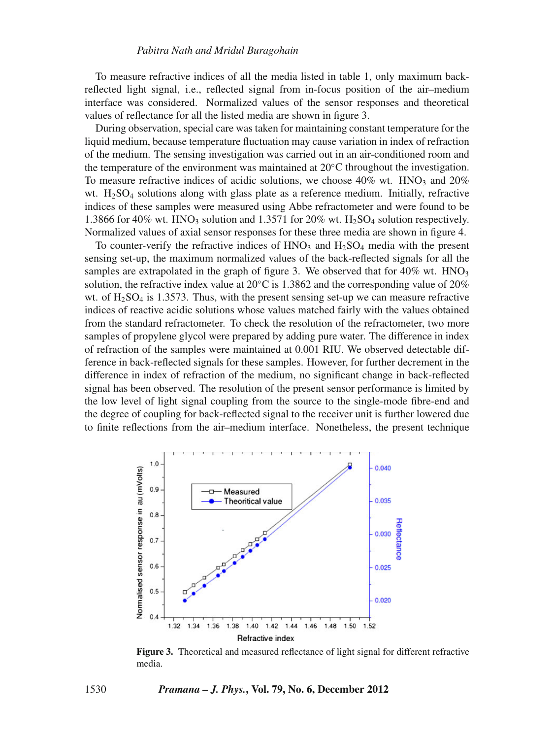To measure refractive indices of all the media listed in table 1, only maximum backreflected light signal, i.e., reflected signal from in-focus position of the air–medium interface was considered. Normalized values of the sensor responses and theoretical values of reflectance for all the listed media are shown in figure 3.

During observation, special care was taken for maintaining constant temperature for the liquid medium, because temperature fluctuation may cause variation in index of refraction of the medium. The sensing investigation was carried out in an air-conditioned room and the temperature of the environment was maintained at  $20^{\circ}$ C throughout the investigation. To measure refractive indices of acidic solutions, we choose  $40\%$  wt.  $HNO<sub>3</sub>$  and  $20\%$ wt.  $H<sub>2</sub>SO<sub>4</sub>$  solutions along with glass plate as a reference medium. Initially, refractive indices of these samples were measured using Abbe refractometer and were found to be 1.3866 for 40% wt. HNO3 solution and 1.3571 for 20% wt. H2SO4 solution respectively. Normalized values of axial sensor responses for these three media are shown in figure 4.

To counter-verify the refractive indices of  $HNO<sub>3</sub>$  and  $H<sub>2</sub>SO<sub>4</sub>$  media with the present sensing set-up, the maximum normalized values of the back-reflected signals for all the samples are extrapolated in the graph of figure 3. We observed that for  $40\%$  wt.  $HNO<sub>3</sub>$ solution, the refractive index value at  $20^{\circ}$ C is 1.3862 and the corresponding value of  $20\%$ wt. of  $H<sub>2</sub>SO<sub>4</sub>$  is 1.3573. Thus, with the present sensing set-up we can measure refractive indices of reactive acidic solutions whose values matched fairly with the values obtained from the standard refractometer. To check the resolution of the refractometer, two more samples of propylene glycol were prepared by adding pure water. The difference in index of refraction of the samples were maintained at 0.001 RIU. We observed detectable difference in back-reflected signals for these samples. However, for further decrement in the difference in index of refraction of the medium, no significant change in back-reflected signal has been observed. The resolution of the present sensor performance is limited by the low level of light signal coupling from the source to the single-mode fibre-end and the degree of coupling for back-reflected signal to the receiver unit is further lowered due to finite reflections from the air–medium interface. Nonetheless, the present technique



**Figure 3.** Theoretical and measured reflectance of light signal for different refractive media.

1530 *Pramana – J. Phys.***, Vol. 79, No. 6, December 2012**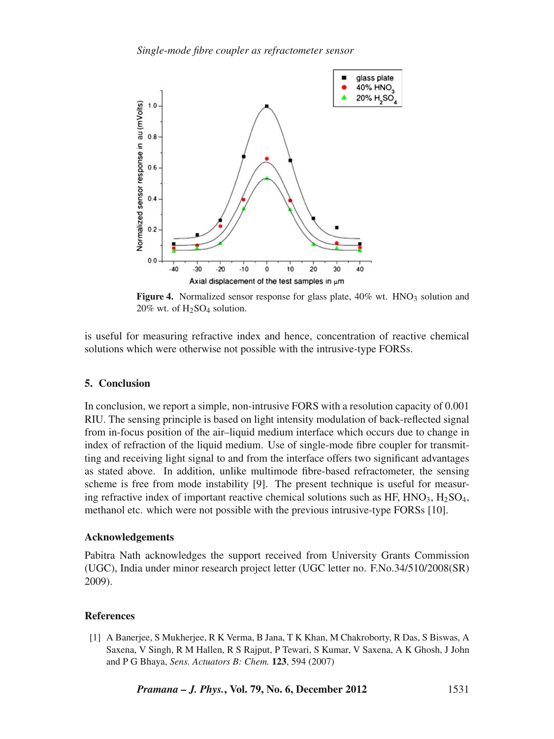

**Figure 4.** Normalized sensor response for glass plate, 40% wt. HNO<sub>3</sub> solution and  $20\%$  wt. of  $H<sub>2</sub>SO<sub>4</sub>$  solution.

is useful for measuring refractive index and hence, concentration of reactive chemical solutions which were otherwise not possible with the intrusive-type FORSs.

# **5. Conclusion**

In conclusion, we report a simple, non-intrusive FORS with a resolution capacity of 0.001 RIU. The sensing principle is based on light intensity modulation of back-reflected signal from in-focus position of the air–liquid medium interface which occurs due to change in index of refraction of the liquid medium. Use of single-mode fibre coupler for transmitting and receiving light signal to and from the interface offers two significant advantages as stated above. In addition, unlike multimode fibre-based refractometer, the sensing scheme is free from mode instability [9]. The present technique is useful for measuring refractive index of important reactive chemical solutions such as HF,  $HNO<sub>3</sub>$ ,  $H<sub>2</sub>SO<sub>4</sub>$ , methanol etc. which were not possible with the previous intrusive-type FORSs [10].

#### **Acknowledgements**

Pabitra Nath acknowledges the support received from University Grants Commission (UGC), India under minor research project letter (UGC letter no. F.No.34/510/2008(SR) 2009).

# **References**

[1] A Banerjee, S Mukherjee, R K Verma, B Jana, T K Khan, M Chakroborty, R Das, S Biswas, A Saxena, V Singh, R M Hallen, R S Rajput, P Tewari, S Kumar, V Saxena, A K Ghosh, J John and P G Bhaya, *Sens. Actuators B: Chem.* **123**, 594 (2007)